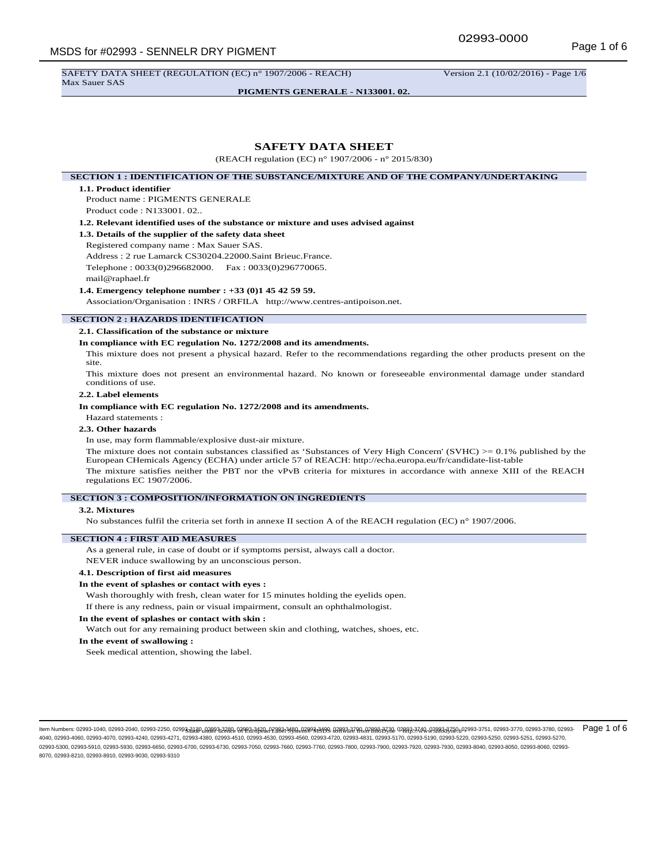SAFETY DATA SHEET (REGULATION (EC) n° 1907/2006 - REACH) Version 2.1 (10/02/2016) - Page 1/6 Max Sauer SAS

**PIGMENTS GENERALE - N133001. 02.**

# **SAFETY DATA SHEET**

(REACH regulation (EC) n° 1907/2006 - n° 2015/830)

# **SECTION 1 : IDENTIFICATION OF THE SUBSTANCE/MIXTURE AND OF THE COMPANY/UNDERTAKING**

#### **1.1. Product identifier**

Product name : PIGMENTS GENERALE Product code : N133001. 02..

**1.2. Relevant identified uses of the substance or mixture and uses advised against**

#### **1.3. Details of the supplier of the safety data sheet**

Registered company name : Max Sauer SAS.

Address : 2 rue Lamarck CS30204.22000.Saint Brieuc.France.

Telephone : 0033(0)296682000. Fax : 0033(0)296770065.

#### mail@raphael.fr

#### **1.4. Emergency telephone number : +33 (0)1 45 42 59 59.**

Association/Organisation : INRS / ORFILA http://www.centres-antipoison.net.

#### **SECTION 2 : HAZARDS IDENTIFICATION**

#### **2.1. Classification of the substance or mixture**

#### **In compliance with EC regulation No. 1272/2008 and its amendments.**

This mixture does not present a physical hazard. Refer to the recommendations regarding the other products present on the site.

This mixture does not present an environmental hazard. No known or foreseeable environmental damage under standard conditions of use.

# **2.2. Label elements**

### **In compliance with EC regulation No. 1272/2008 and its amendments.**

Hazard statements :

## **2.3. Other hazards**

In use, may form flammable/explosive dust-air mixture.

The mixture does not contain substances classified as 'Substances of Very High Concern' (SVHC)  $> = 0.1\%$  published by the European CHemicals Agency (ECHA) under article 57 of REACH: http://echa.europa.eu/fr/candidate-list-table

The mixture satisfies neither the PBT nor the vPvB criteria for mixtures in accordance with annexe XIII of the REACH regulations EC 1907/2006.

## **SECTION 3 : COMPOSITION/INFORMATION ON INGREDIENTS**

#### **3.2. Mixtures**

No substances fulfil the criteria set forth in annexe II section A of the REACH regulation (EC) n° 1907/2006.

## **SECTION 4 : FIRST AID MEASURES**

As a general rule, in case of doubt or if symptoms persist, always call a doctor.

NEVER induce swallowing by an unconscious person.

## **4.1. Description of first aid measures**

#### **In the event of splashes or contact with eyes :**

Wash thoroughly with fresh, clean water for 15 minutes holding the eyelids open. If there is any redness, pain or visual impairment, consult an ophthalmologist.

#### **In the event of splashes or contact with skin :**

Watch out for any remaining product between skin and clothing, watches, shoes, etc.

## **In the event of swallowing :**

Seek medical attention, showing the label.

ltem Numbers: 02993-1040, 02993-2260, 02993-2250, 02993<del>,A1</del>10,<sub>0</sub>0203,2220, 02993,3420,02980,34290,02898,3499, 02883,370,0298,333,0,0298,3370,02983,3750,02993-3751, 02993-3770, 02993-3770, 02993-3770, 02993-3770, 02993-37 4040, 02993-4060, 02993-4070, 02993-4240, 02993-4271, 02993-4380, 02993-4510, 02993-4530, 02993-4560, 02993-4720, 02993-4831, 02993-5170, 02993-5190, 02993-5220, 02993-5250, 02993-5251, 02993-5270, 02993-5300, 02993-5910, 02993-5930, 02993-6650, 02993-6700, 02993-6730, 02993-7050, 02993-7660, 02993-7760, 02993-7800, 02993-7900, 02993-7920, 02993-7930, 02993-8040, 02993-8050, 02993-8060, 02993- 8070, 02993-8210, 02993-8910, 02993-9030, 02993-9310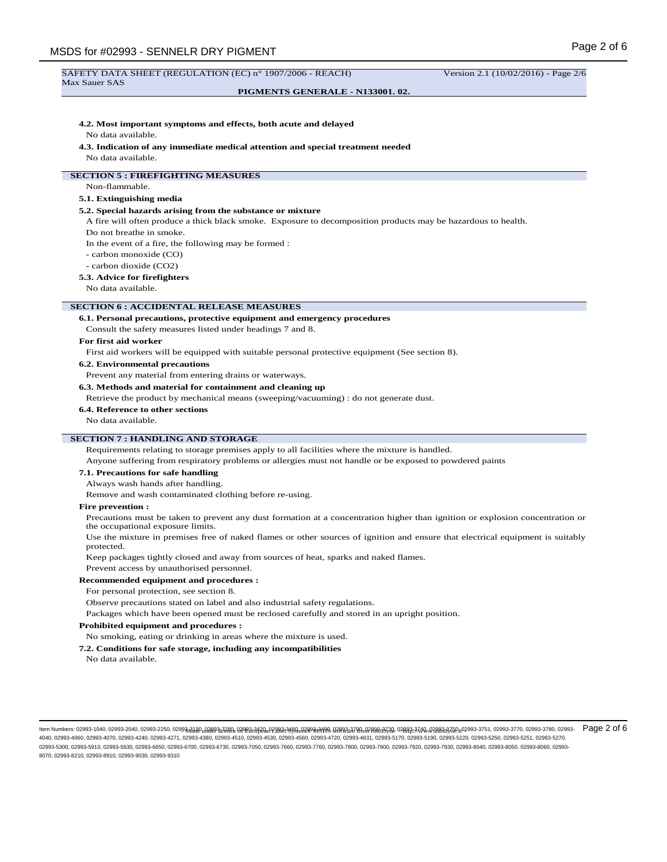#### **PIGMENTS GENERALE - N133001. 02.**

#### **4.2. Most important symptoms and effects, both acute and delayed**

No data available.

#### **4.3. Indication of any immediate medical attention and special treatment needed**

No data available.

# **SECTION 5 : FIREFIGHTING MEASURES**

Non-flammable.

# **5.1. Extinguishing media**

## **5.2. Special hazards arising from the substance or mixture**

A fire will often produce a thick black smoke. Exposure to decomposition products may be hazardous to health.

Do not breathe in smoke.

In the event of a fire, the following may be formed :

- carbon monoxide (CO)
- carbon dioxide (CO2)

#### **5.3. Advice for firefighters**

No data available.

#### **SECTION 6 : ACCIDENTAL RELEASE MEASURES**

### **6.1. Personal precautions, protective equipment and emergency procedures**

Consult the safety measures listed under headings 7 and 8.

#### **For first aid worker**

First aid workers will be equipped with suitable personal protective equipment (See section 8).

## **6.2. Environmental precautions**

Prevent any material from entering drains or waterways.

#### **6.3. Methods and material for containment and cleaning up**

Retrieve the product by mechanical means (sweeping/vacuuming) : do not generate dust.

#### **6.4. Reference to other sections**

No data available.

#### **SECTION 7 : HANDLING AND STORAGE**

Requirements relating to storage premises apply to all facilities where the mixture is handled.

Anyone suffering from respiratory problems or allergies must not handle or be exposed to powdered paints

## **7.1. Precautions for safe handling**

Always wash hands after handling.

Remove and wash contaminated clothing before re-using.

#### **Fire prevention :**

Precautions must be taken to prevent any dust formation at a concentration higher than ignition or explosion concentration or the occupational exposure limits.

Use the mixture in premises free of naked flames or other sources of ignition and ensure that electrical equipment is suitably protected.

Keep packages tightly closed and away from sources of heat, sparks and naked flames.

Prevent access by unauthorised personnel.

## **Recommended equipment and procedures :**

For personal protection, see section 8.

Observe precautions stated on label and also industrial safety regulations.

Packages which have been opened must be reclosed carefully and stored in an upright position.

#### **Prohibited equipment and procedures :**

No smoking, eating or drinking in areas where the mixture is used.

#### **7.2. Conditions for safe storage, including any incompatibilities**

No data available.

ltem Numbers: 02993-1040, 02993-2260, 02993-2250, 02993<sub>10</sub>3180,000 02931,3280,000 0393,342,000,000 0380,000 0380,000 0380,000 0380,000 0380,000 0380,000 0380,000 0393,00,000 0380,000 0380,000 0393-3770,02993-3770,02993-37 4040, 02993-4060, 02993-4070, 02993-4240, 02993-4271, 02993-4380, 02993-4510, 02993-4530, 02993-4560, 02993-4720, 02993-4831, 02993-5170, 02993-5190, 02993-5220, 02993-5250, 02993-5251, 02993-5270, 02993-5300, 02993-5910, 02993-5930, 02993-6650, 02993-6700, 02993-6730, 02993-7050, 02993-7660, 02993-7760, 02993-7800, 02993-7900, 02993-7920, 02993-7930, 02993-8040, 02993-8050, 02993-8060, 02993- 8070, 02993-8210, 02993-8910, 02993-9030, 02993-9310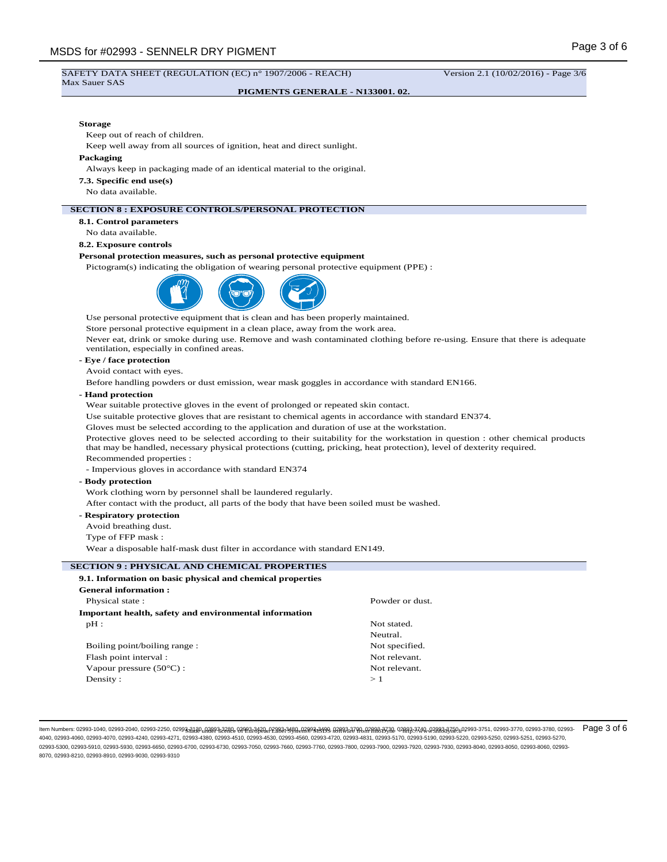## **PIGMENTS GENERALE - N133001. 02.**

### **Storage**

Keep out of reach of children.

Keep well away from all sources of ignition, heat and direct sunlight.

#### **Packaging**

Always keep in packaging made of an identical material to the original.

**7.3. Specific end use(s)**

No data available.

## **SECTION 8 : EXPOSURE CONTROLS/PERSONAL PROTECTION**

**8.1. Control parameters**

No data available.

## **8.2. Exposure controls**

## **Personal protection measures, such as personal protective equipment**

Pictogram(s) indicating the obligation of wearing personal protective equipment (PPE) :



Use personal protective equipment that is clean and has been properly maintained.

Store personal protective equipment in a clean place, away from the work area.

Never eat, drink or smoke during use. Remove and wash contaminated clothing before re-using. Ensure that there is adequate ventilation, especially in confined areas.

## **- Eye / face protection**

Avoid contact with eyes.

Before handling powders or dust emission, wear mask goggles in accordance with standard EN166.

# **- Hand protection**

Wear suitable protective gloves in the event of prolonged or repeated skin contact.

Use suitable protective gloves that are resistant to chemical agents in accordance with standard EN374.

Gloves must be selected according to the application and duration of use at the workstation.

Protective gloves need to be selected according to their suitability for the workstation in question : other chemical products that may be handled, necessary physical protections (cutting, pricking, heat protection), level of dexterity required.

Recommended properties :

- Impervious gloves in accordance with standard EN374

#### **- Body protection**

Work clothing worn by personnel shall be laundered regularly.

After contact with the product, all parts of the body that have been soiled must be washed.

## **- Respiratory protection**

Avoid breathing dust.

Type of FFP mask :

Wear a disposable half-mask dust filter in accordance with standard EN149.

# **SECTION 9 : PHYSICAL AND CHEMICAL PROPERTIES**

| 9.1. Information on basic physical and chemical properties |                 |
|------------------------------------------------------------|-----------------|
| <b>General information:</b>                                |                 |
| Physical state:                                            | Powder or dust. |
| Important health, safety and environmental information     |                 |
| $pH$ :                                                     | Not stated.     |
|                                                            | Neutral.        |
| Boiling point/boiling range:                               | Not specified.  |
| Flash point interval:                                      | Not relevant.   |
| Vapour pressure $(50^{\circ}$ C) :                         | Not relevant.   |
| Density:                                                   | >1              |

ltem Numbers: 02993-1040, 02993-2260, 02993-2250, 02993<sub>10</sub>3180,000 02931,3280,000 0393,342,000,000 0380,000 0380,000 0380,000 0380,000 0380,000 0380,000 0380,000 0393,00,000 0380,000 0380,000 0393-3770,02993-3770,02993-37 4040, 02993-4060, 02993-4070, 02993-4240, 02993-4271, 02993-4380, 02993-4510, 02993-4560, 02993-4720, 02993-4831, 02993-5170, 02993-5190, 02993-5280, 02993-5250, 02993-5250, 02993-5251, 02993-5220, 02993-5250, 02993-5250, 0 02993-5300, 02993-5910, 02993-5930, 02993-6650, 02993-6700, 02993-6730, 02993-7050, 02993-7660, 02993-7760, 02993-7800, 02993-7900, 02993-7920, 02993-7930, 02993-8040, 02993-8050, 02993-8060, 02993- 8070, 02993-8210, 02993-8910, 02993-9030, 02993-9310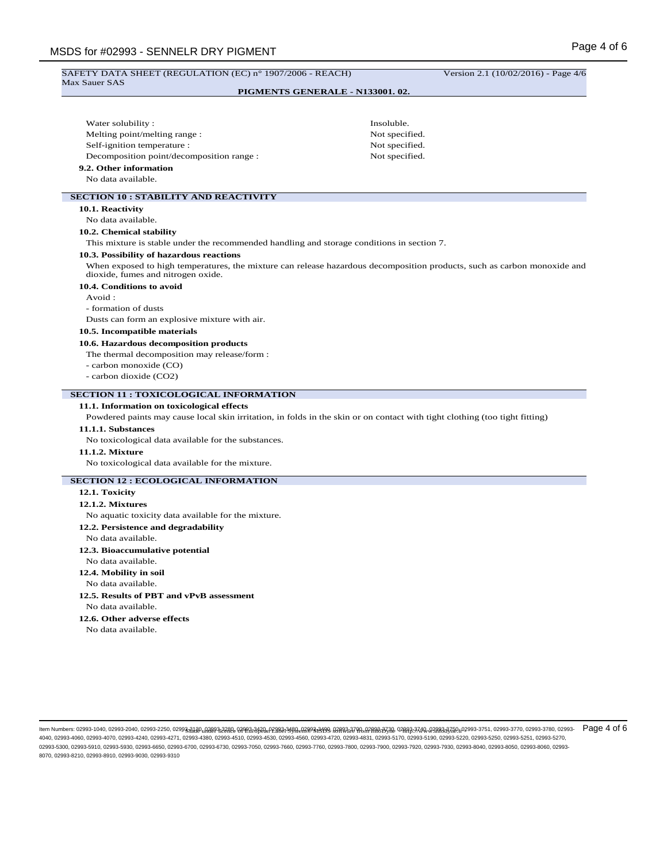# MSDS for #02993 - SENNELR DRY PIGMENT SAFETY DATA SHEET (REGULATION (EC) n° 1907/2006 - REACH) Version 2.1 (10/02/2016) - Page 4/6 Max Sauer SAS **PIGMENTS GENERALE - N133001. 02.** Water solubility : Insoluble. Melting point/melting range : Not specified. Self-ignition temperature : Not specified. Decomposition point/decomposition range : Not specified. **9.2. Other information** No data available. **SECTION 10 : STABILITY AND REACTIVITY 10.1. Reactivity** No data available. **10.2. Chemical stability** This mixture is stable under the recommended handling and storage conditions in section 7. **10.3. Possibility of hazardous reactions** When exposed to high temperatures, the mixture can release hazardous decomposition products, such as carbon monoxide and dioxide, fumes and nitrogen oxide. **10.4. Conditions to avoid** Avoid : - formation of dusts Dusts can form an explosive mixture with air. **10.5. Incompatible materials 10.6. Hazardous decomposition products** The thermal decomposition may release/form : - carbon monoxide (CO) - carbon dioxide (CO2) **SECTION 11 : TOXICOLOGICAL INFORMATION 11.1. Information on toxicological effects** Powdered paints may cause local skin irritation, in folds in the skin or on contact with tight clothing (too tight fitting) **11.1.1. Substances** No toxicological data available for the substances. **11.1.2. Mixture** No toxicological data available for the mixture. **SECTION 12 : ECOLOGICAL INFORMATION 12.1. Toxicity 12.1.2. Mixtures** No aquatic toxicity data available for the mixture. **12.2. Persistence and degradability** No data available. **12.3. Bioaccumulative potential** No data available. **12.4. Mobility in soil** No data available. **12.5. Results of PBT and vPvB assessment** No data available. **12.6. Other adverse effects** No data available.

ltem Numbers: 02993-1040, 02993-2260, 02993-2250, 02993<sub>10</sub>3180,000 02931,3280,000 0393,342,000,000 0380,000 0380,000 0380,000 0380,000 0380,000 0380,000 0380,000 0393,00,000 0380,000 0380,000 0393-3770,02993-3770,02993-37 4040, 02993-4060, 02993-4070, 02993-4240, 02993-4271, 02993-4380, 02993-4510, 02993-4530, 02993-4560, 02993-4720, 02993-4831, 02993-5170, 02993-5190, 02993-5220, 02993-5250, 02993-5251, 02993-5270, 02993-5300, 02993-5910, 02993-5930, 02993-6650, 02993-6700, 02993-6730, 02993-7050, 02993-7660, 02993-7760, 02993-7800, 02993-7900, 02993-7920, 02993-7930, 02993-8040, 02993-8050, 02993-8060, 02993- 8070, 02993-8210, 02993-8910, 02993-9030, 02993-9310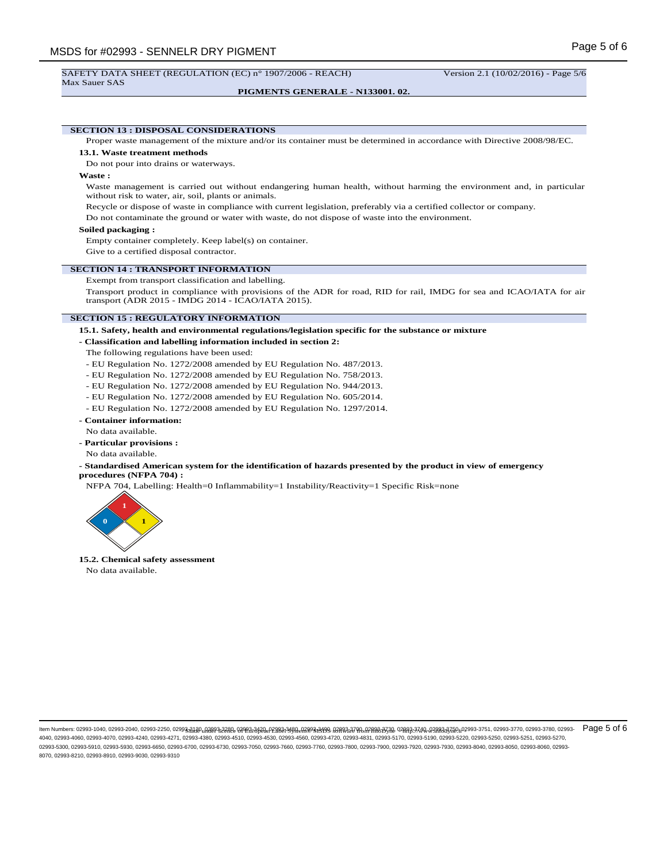Max Sauer SAS

**PIGMENTS GENERALE - N133001. 02.**

**SECTION 13 : DISPOSAL CONSIDERATIONS**

Proper waste management of the mixture and/or its container must be determined in accordance with Directive 2008/98/EC.

### **13.1. Waste treatment methods**

Do not pour into drains or waterways.

**Waste :**

Waste management is carried out without endangering human health, without harming the environment and, in particular without risk to water, air, soil, plants or animals.

Recycle or dispose of waste in compliance with current legislation, preferably via a certified collector or company.

Do not contaminate the ground or water with waste, do not dispose of waste into the environment.

#### **Soiled packaging :**

Empty container completely. Keep label(s) on container.

Give to a certified disposal contractor.

### **SECTION 14 : TRANSPORT INFORMATION**

Exempt from transport classification and labelling.

Transport product in compliance with provisions of the ADR for road, RID for rail, IMDG for sea and ICAO/IATA for air transport (ADR 2015 - IMDG 2014 - ICAO/IATA 2015).

#### **SECTION 15 : REGULATORY INFORMATION**

**15.1. Safety, health and environmental regulations/legislation specific for the substance or mixture**

#### **- Classification and labelling information included in section 2:**

- The following regulations have been used:
- EU Regulation No. 1272/2008 amended by EU Regulation No. 487/2013.
- EU Regulation No. 1272/2008 amended by EU Regulation No. 758/2013.
- EU Regulation No. 1272/2008 amended by EU Regulation No. 944/2013.
- EU Regulation No. 1272/2008 amended by EU Regulation No. 605/2014.
- EU Regulation No. 1272/2008 amended by EU Regulation No. 1297/2014.

# **- Container information:**

No data available.

- **Particular provisions :**
- No data available.

## **- Standardised American system for the identification of hazards presented by the product in view of emergency procedures (NFPA 704) :**

NFPA 704, Labelling: Health=0 Inflammability=1 Instability/Reactivity=1 Specific Risk=none



**15.2. Chemical safety assessment**

No data available.

<sup>-</sup> Made under licence of European Label System® MSDS software from InfoDyne - http://www.infodyne.fr - Item Numbers: 02993-1040, 02993-2040, 02993-2250, 02993-3130, 02993-3280, 02993-3420, 02993-3480, 02993-3490, 02993-3700, 02993-3730, 02993-3740, 02993-3750, 02993-3751, 02993-3770, 02993-3780, 02993- Page 5 of 64040, 02993-4060, 02993-4070, 02993-4240, 02993-4271, 02993-4380, 02993-4510, 02993-4530, 02993-4560, 02993-4720, 02993-4831, 02993-5170, 02993-5190, 02993-5220, 02993-5250, 02993-5251, 02993-5270, 02993-5300, 02993-5910, 02993-5930, 02993-6650, 02993-6700, 02993-6730, 02993-7050, 02993-7660, 02993-7760, 02993-7800, 02993-7900, 02993-7920, 02993-7930, 02993-8040, 02993-8050, 02993-8060, 02993- 8070, 02993-8210, 02993-8910, 02993-9030, 02993-9310